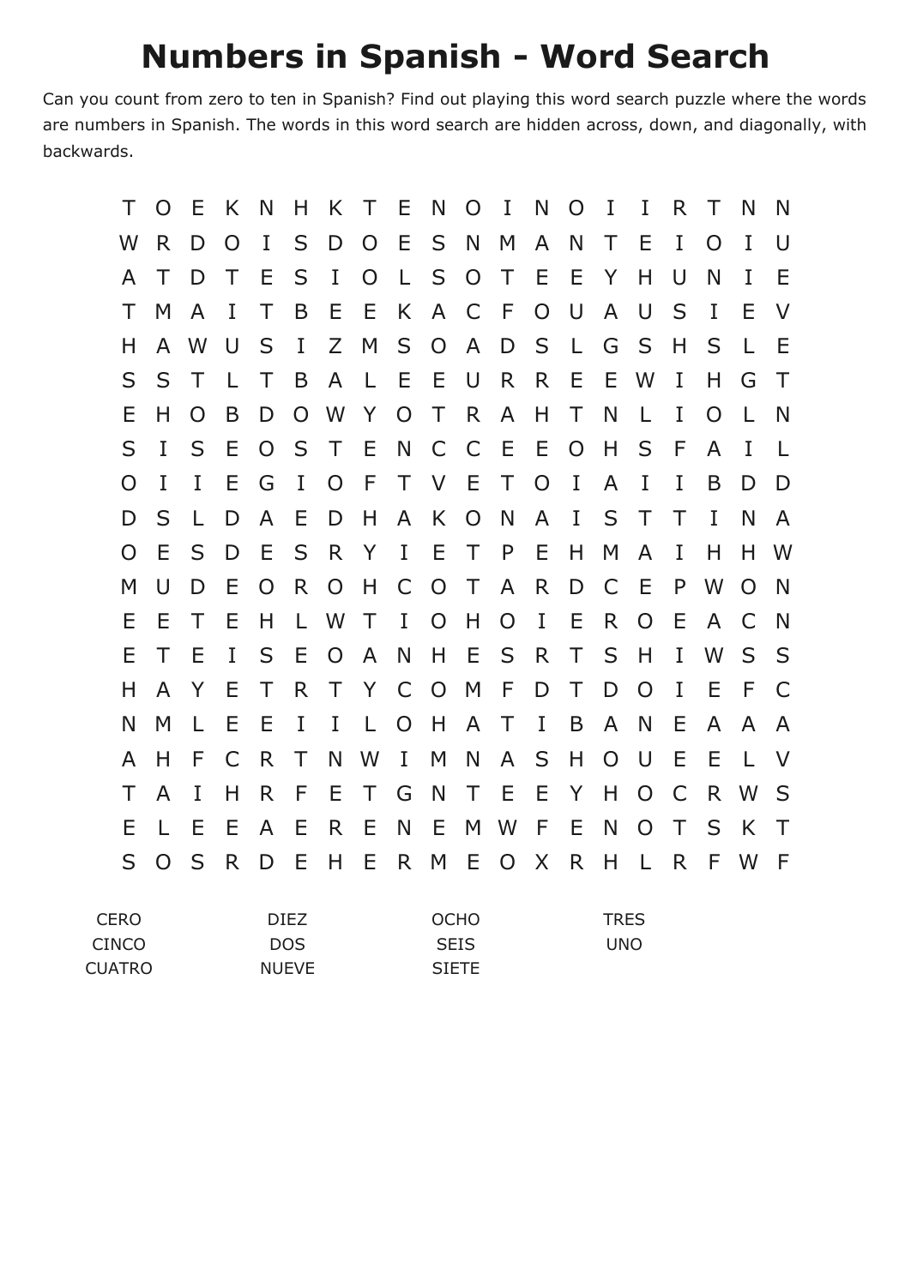## **Numbers in Spanish - Word Search**

Can you count from zero to ten in Spanish? Find out playing this word search puzzle where the words are numbers in Spanish. The words in this word search are hidden across, down, and diagonally, with backwards.

| Τ   | O | E | K  | N | н           | K | Τ  | Е | N      | O           | I | N | O | Ι           | 1 | R | Τ  | N  | N      |
|-----|---|---|----|---|-------------|---|----|---|--------|-------------|---|---|---|-------------|---|---|----|----|--------|
| W   | R | D | O  | I | S           | D | O  | Ε | S      | N           | M | A | N | Τ           | Ε | Ι | O  | I  | U      |
| A   | Τ | D | Τ  | Ε | S           | Ι | O  | L | S      | O           | Τ | Е | Е | Y           | Н | U | N  | I  | E      |
| Τ   | M | A | I  | Τ | B           | Ε | Ε  | K | A      | C           | F | O | U | A           | U | S | I  | E  | V      |
| Н   | A | W | U  | S | I           | Ζ | M  | S | O      | A           | D | S | L | G           | S | Н | S  | L  | Ε      |
| S   | S | Τ | I. | Τ | B           | A | I. | Ε | Ε      | U           | R | R | E | Ε           | W | I | Н  | G  | T      |
| Ε   | Н | O | B  | D | O           | W | Y  | O | Τ      | R           | A | H | Т | N           | L | I | O  | L  | N      |
| S   | I | S | Ε  | O | S           | Τ | Ε  | N | C      | C           | Ε | Ε | O | H           | S | F | A  | I  | L      |
| O   | I | I | Ε  | G | I           | O | F  | Т | $\vee$ | E           | Τ | O | I | A           | I | I | B  | D  | D      |
| D   | S |   | D  | A | Ε           | D | Н  | A | K      | O           | N | A | I | S           | Τ | Т | T  | N  | A      |
| O   | Ε | S | D  | Е | S           | R | Y  | I | Ε      | Τ           | P | Е | H | M           | A | I | Н  | н  | W      |
| M   | U | D | Ε  | O | R           | O | H  | C | O      | Τ           | A | R | D | C           | Е | P | W  | O  | N      |
| Ε   | Е | Τ | Ε  | H | L           | W | Τ  | I | O      | H           | O | I | Е | R           | O | E | A  | C  | N      |
| Е   | Τ | Ε | I  | S | Ε           | O | A  | N | Н      | E           | S | R | Τ | S           | Н | I | W  | S  | S      |
| Н   | A | Y | Ε  | Τ | R           | Τ | Y  | C | O      | M           | F | D | Т | D           | O | I | Ε  | F  | C      |
| N   | M | L | Ε  | Ε | I           | Ι | L  | O | Н      | A           | Τ | I | B | A           | N | Е | A  | A  | A      |
| A   | Н | F | C  | R | Τ           | N | W  | I | M      | N           | A | S | Н | O           | U | Е | E  | L. | V      |
| Τ   | A | I | Н  | R | F           | Ε | Τ  | G | N      | Τ           | Ε | Е | Y | H           | O | C | R. | W  | S      |
| Ε   | L | Ε | Ε  | A | Ε           | R | Ε  | N | Ε      | M           | W | F | Ε | N           | O | Τ | S  | K  | $\top$ |
| S   | O | S | R  | D | Ε           | H | E  | R | M      | Ε           | O | X | R | Η           | L | R | F  | W  | F      |
| ERO |   |   |    |   | <b>DIEZ</b> |   |    |   |        | <b>OCHO</b> |   |   |   | <b>TRES</b> |   |   |    |    |        |

| CERO.         | DIFZ.        | <b>OCHO</b>  | <b>TRES</b> |
|---------------|--------------|--------------|-------------|
| CINCO         | DOS.         | <b>SEIS</b>  | UNO         |
| <b>CUATRO</b> | <b>NUEVE</b> | <b>SIETE</b> |             |